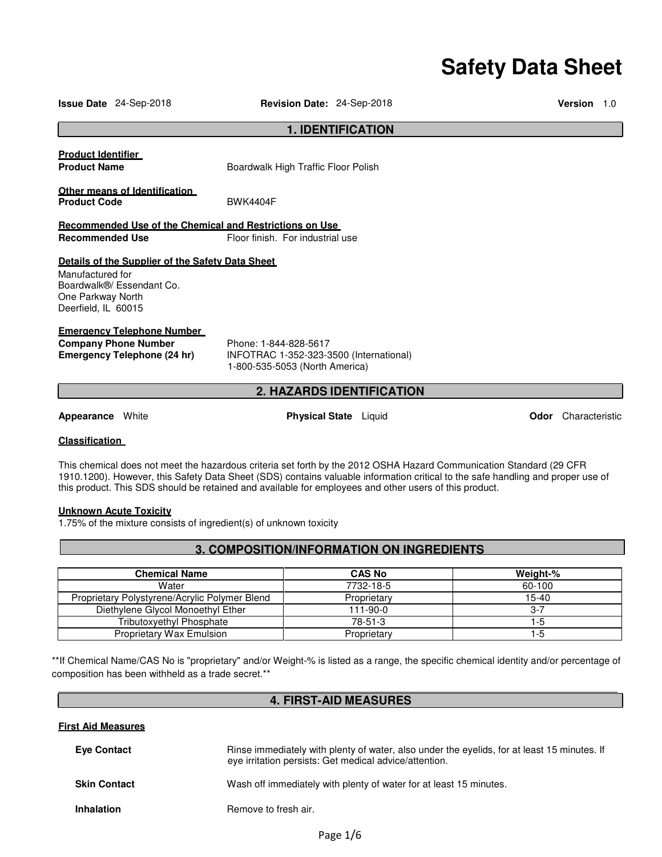# **Safety Data Sheet**

| <b>1. IDENTIFICATION</b>                                                                                                                      |                                                                                                    |                        |  |
|-----------------------------------------------------------------------------------------------------------------------------------------------|----------------------------------------------------------------------------------------------------|------------------------|--|
| <b>Product Identifier</b><br><b>Product Name</b>                                                                                              | Boardwalk High Traffic Floor Polish                                                                |                        |  |
| Other means of Identification<br><b>Product Code</b>                                                                                          | <b>BWK4404F</b>                                                                                    |                        |  |
| <b>Recommended Use of the Chemical and Restrictions on Use</b><br><b>Recommended Use</b>                                                      | Floor finish. For industrial use                                                                   |                        |  |
| Details of the Supplier of the Safety Data Sheet<br>Manufactured for<br>Boardwalk®/ Essendant Co.<br>One Parkway North<br>Deerfield, IL 60015 |                                                                                                    |                        |  |
| <b>Emergency Telephone Number</b><br><b>Company Phone Number</b><br><b>Emergency Telephone (24 hr)</b>                                        | Phone: 1-844-828-5617<br>INFOTRAC 1-352-323-3500 (International)<br>1-800-535-5053 (North America) |                        |  |
| <b>2. HAZARDS IDENTIFICATION</b>                                                                                                              |                                                                                                    |                        |  |
| <b>Appearance</b> White                                                                                                                       | <b>Physical State</b> Liquid                                                                       | Characteristic<br>Odor |  |
| <b>Classification</b>                                                                                                                         |                                                                                                    |                        |  |

**Issue Date** 24-Sep-2018 **Revision Date:** 24-Sep-2018 **Version** 1.0

This chemical does not meet the hazardous criteria set forth by the 2012 OSHA Hazard Communication Standard (29 CFR 1910.1200). However, this Safety Data Sheet (SDS) contains valuable information critical to the safe handling and proper use of this product. This SDS should be retained and available for employees and other users of this product.

#### **Unknown Acute Toxicity**

1.75% of the mixture consists of ingredient(s) of unknown toxicity

# **3. COMPOSITION/INFORMATION ON INGREDIENTS**

| <b>Chemical Name</b>                          | <b>CAS No</b> | Weight-% |
|-----------------------------------------------|---------------|----------|
| Water                                         | 7732-18-5     | 60-100   |
| Proprietary Polystyrene/Acrylic Polymer Blend | Proprietary   | $15-40$  |
| Diethylene Glycol Monoethyl Ether             | 111-90-0      | 3-7      |
| <b>Tributoxyethyl Phosphate</b>               | $78-51-3$     | -5       |
| Proprietary Wax Emulsion                      | Proprietary   | -5       |

\*\*If Chemical Name/CAS No is "proprietary" and/or Weight-% is listed as a range, the specific chemical identity and/or percentage of composition has been withheld as a trade secret.\*\*

# **4. FIRST-AID MEASURES**

# **First Aid Measures**

| <b>Eve Contact</b>  | Rinse immediately with plenty of water, also under the eyelids, for at least 15 minutes. If<br>eve irritation persists: Get medical advice/attention. |
|---------------------|-------------------------------------------------------------------------------------------------------------------------------------------------------|
| <b>Skin Contact</b> | Wash off immediately with plenty of water for at least 15 minutes.                                                                                    |
| <b>Inhalation</b>   | Remove to fresh air.                                                                                                                                  |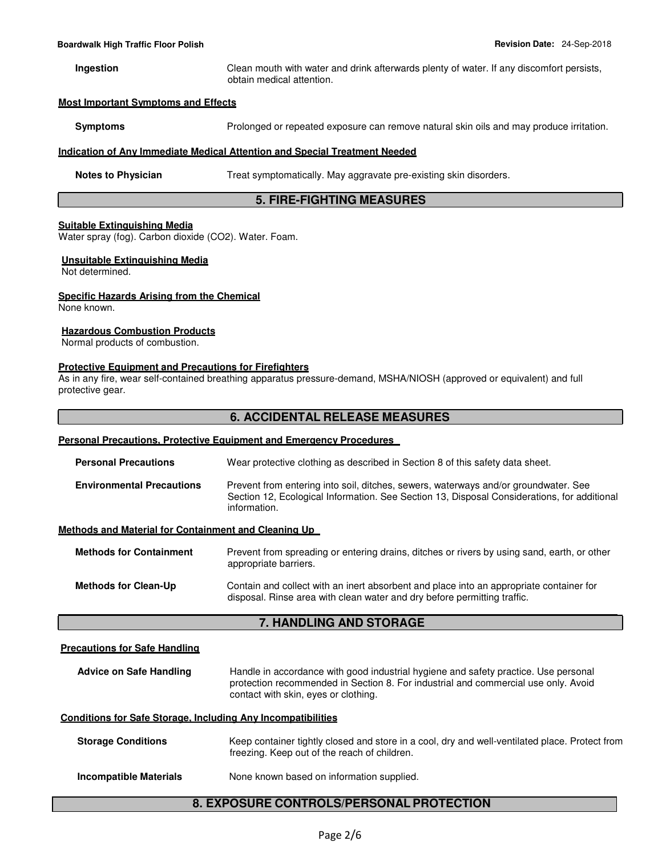**Ingestion** Clean mouth with water and drink afterwards plenty of water. If any discomfort persists, obtain medical attention.

#### **Most Important Symptoms and Effects**

**Symptoms** Prolonged or repeated exposure can remove natural skin oils and may produce irritation.

#### **Indication of Any Immediate Medical Attention and Special Treatment Needed**

**Notes to Physician Treat symptomatically. May aggravate pre-existing skin disorders.** 

# **5. FIRE-FIGHTING MEASURES**

#### **Suitable Extinguishing Media**

Water spray (fog). Carbon dioxide (CO2). Water. Foam.

# **Unsuitable Extinguishing Media**

Not determined.

#### **Specific Hazards Arising from the Chemical**

None known.

#### **Hazardous Combustion Products**

Normal products of combustion.

#### **Protective Equipment and Precautions for Firefighters**

As in any fire, wear self-contained breathing apparatus pressure-demand, MSHA/NIOSH (approved or equivalent) and full protective gear.

# **6. ACCIDENTAL RELEASE MEASURES**

### **Personal Precautions, Protective Equipment and Emergency Procedures**

| <b>Personal Precautions</b>                          | Wear protective clothing as described in Section 8 of this safety data sheet.                                                                                                                      |
|------------------------------------------------------|----------------------------------------------------------------------------------------------------------------------------------------------------------------------------------------------------|
| <b>Environmental Precautions</b>                     | Prevent from entering into soil, ditches, sewers, waterways and/or groundwater. See<br>Section 12, Ecological Information. See Section 13, Disposal Considerations, for additional<br>information. |
| Methods and Material for Containment and Cleaning Up |                                                                                                                                                                                                    |
| <b>Methods for Containment</b>                       | Prevent from spreading or entering drains, ditches or rivers by using sand, earth, or other<br>appropriate barriers.                                                                               |
| <b>Methods for Clean-Up</b>                          | Contain and collect with an inert absorbent and place into an appropriate container for                                                                                                            |

# **7. HANDLING AND STORAGE**

disposal. Rinse area with clean water and dry before permitting traffic.

#### **Precautions for Safe Handling**

**Advice on Safe Handling** Handle in accordance with good industrial hygiene and safety practice. Use personal protection recommended in Section 8. For industrial and commercial use only. Avoid contact with skin, eyes or clothing.

#### **Conditions for Safe Storage, Including Any Incompatibilities**

| <b>Storage Conditions</b> | Keep container tightly closed and store in a cool, dry and well-ventilated place. Protect from<br>freezing. Keep out of the reach of children. |
|---------------------------|------------------------------------------------------------------------------------------------------------------------------------------------|
| Incompatible Materials    | None known based on information supplied.                                                                                                      |

# **8. EXPOSURE CONTROLS/PERSONAL PROTECTION**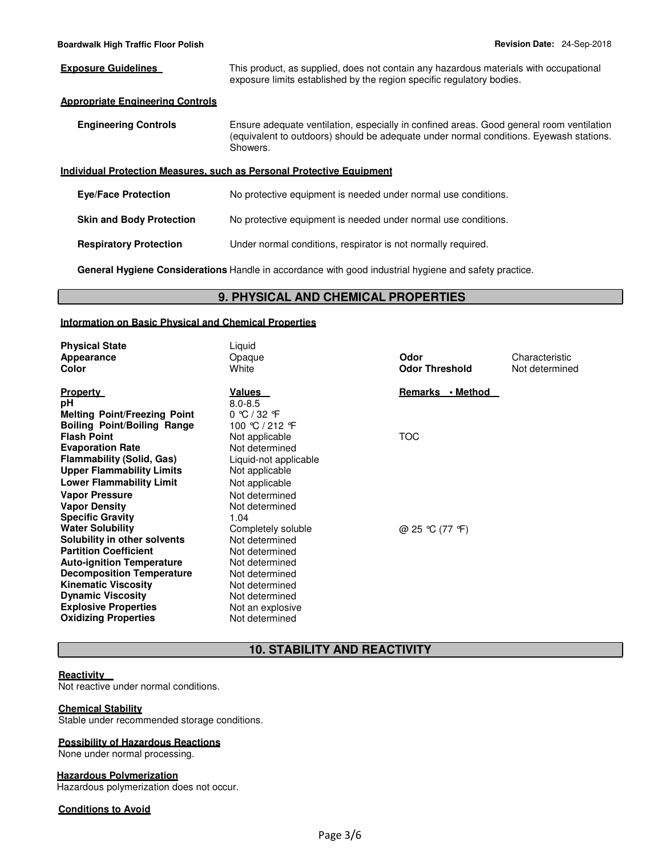**Exposure Guidelines This product, as supplied, does not contain any hazardous materials with occupational** exposure limits established by the region specific regulatory bodies.

# **Appropriate Engineering Controls**

**Engineering Controls** Ensure adequate ventilation, especially in confined areas. Good general room ventilation (equivalent to outdoors) should be adequate under normal conditions. Eyewash stations. Showers.

#### **Individual Protection Measures, such as Personal Protective Equipment**

| <b>Eve/Face Protection</b>      | No protective equipment is needed under normal use conditions. |
|---------------------------------|----------------------------------------------------------------|
| <b>Skin and Body Protection</b> | No protective equipment is needed under normal use conditions. |
| <b>Respiratory Protection</b>   | Under normal conditions, respirator is not normally required.  |

**General Hygiene Considerations** Handle in accordance with good industrial hygiene and safety practice.

# **9. PHYSICAL AND CHEMICAL PROPERTIES**

#### **Information on Basic Physical and Chemical Properties**

| <b>Physical State</b><br><b>Appearance</b><br>Color                                                                                                                                                                                                          | Liquid<br>Opaque<br>White                                                                                                                      | Odor<br><b>Odor Threshold</b> | Characteristic<br>Not determined |
|--------------------------------------------------------------------------------------------------------------------------------------------------------------------------------------------------------------------------------------------------------------|------------------------------------------------------------------------------------------------------------------------------------------------|-------------------------------|----------------------------------|
| <b>Property</b><br>рH<br><b>Melting Point/Freezing Point</b><br><b>Boiling Point/Boiling Range</b>                                                                                                                                                           | Values<br>$8.0 - 8.5$<br>0 °C / 32 °F<br>100 ℃ / 212 °F                                                                                        | Remarks • Method              |                                  |
| <b>Flash Point</b><br><b>Evaporation Rate</b><br><b>Flammability (Solid, Gas)</b><br><b>Upper Flammability Limits</b>                                                                                                                                        | Not applicable<br>Not determined<br>Liquid-not applicable<br>Not applicable                                                                    | <b>TOC</b>                    |                                  |
| <b>Lower Flammability Limit</b><br><b>Vapor Pressure</b><br><b>Vapor Density</b><br><b>Specific Gravity</b><br><b>Water Solubility</b>                                                                                                                       | Not applicable<br>Not determined<br>Not determined<br>1.04<br>Completely soluble                                                               | @ 25 ℃ (77 °F)                |                                  |
| Solubility in other solvents<br><b>Partition Coefficient</b><br><b>Auto-ignition Temperature</b><br><b>Decomposition Temperature</b><br><b>Kinematic Viscosity</b><br><b>Dynamic Viscosity</b><br><b>Explosive Properties</b><br><b>Oxidizing Properties</b> | Not determined<br>Not determined<br>Not determined<br>Not determined<br>Not determined<br>Not determined<br>Not an explosive<br>Not determined |                               |                                  |

# **10. STABILITY AND REACTIVITY**

#### **Reactivity**

Not reactive under normal conditions.

#### **Chemical Stability**

Stable under recommended storage conditions.

#### **Possibility of Hazardous Reactions**

None under normal processing.

#### **Hazardous Polymerization**

Hazardous polymerization does not occur.

# **Conditions to Avoid**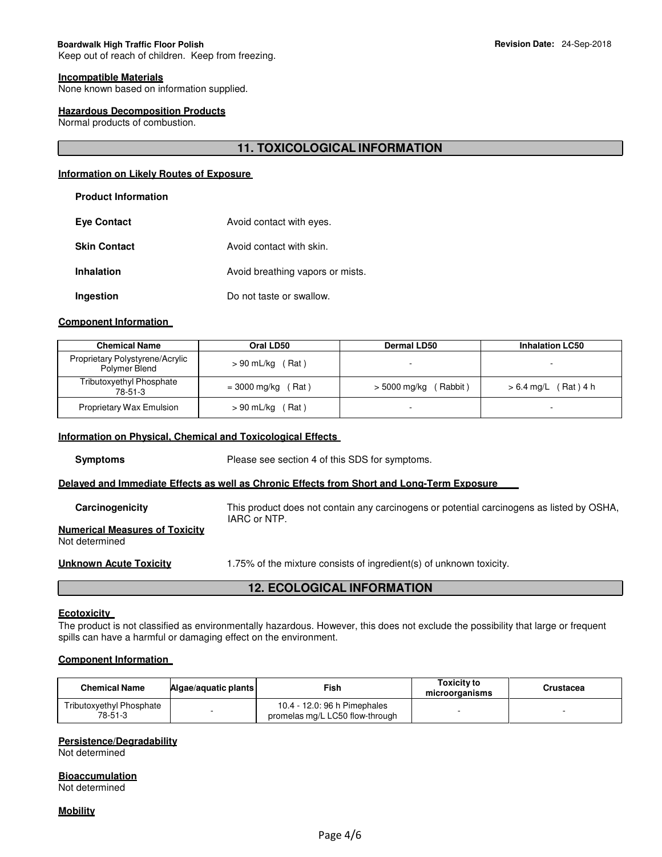#### **Incompatible Materials**

None known based on information supplied.

#### **Hazardous Decomposition Products**

Normal products of combustion.

# **11. TOXICOLOGICAL INFORMATION**

# **Information on Likely Routes of Exposure**

# **Product Information**

| <b>Eye Contact</b>  | Avoid contact with eyes.         |
|---------------------|----------------------------------|
| <b>Skin Contact</b> | Avoid contact with skin.         |
| <b>Inhalation</b>   | Avoid breathing vapors or mists. |
| Ingestion           | Do not taste or swallow.         |

#### **Component Information**

| <b>Chemical Name</b>                             | Oral LD50                 | <b>Dermal LD50</b>      | <b>Inhalation LC50</b>   |
|--------------------------------------------------|---------------------------|-------------------------|--------------------------|
| Proprietary Polystyrene/Acrylic<br>Polymer Blend | $> 90$ mL/kg (Rat)        |                         |                          |
| Tributoxyethyl Phosphate<br>78-51-3              | $= 3000$ mg/kg (<br>(Rat) | Rabbit)<br>> 5000 mg/kg | (Rat ) 4 h<br>> 6.4 mg/L |
| <b>Proprietary Wax Emulsion</b>                  | $> 90$ mL/kg (Rat)        |                         |                          |

#### **Information on Physical, Chemical and Toxicological Effects**

**Symptoms** Please see section 4 of this SDS for symptoms.

#### **Delayed and Immediate Effects as well as Chronic Effects from Short and Long-Term Exposure**

| Carcinogenicity                                         | This product does not contain any carcinogens or potential carcinogens as listed by OSHA,<br>IARC or NTP. |
|---------------------------------------------------------|-----------------------------------------------------------------------------------------------------------|
| <b>Numerical Measures of Toxicity</b><br>Not determined |                                                                                                           |
| Unknown Acute Toxicity                                  | 1.75% of the mixture consists of ingredient(s) of unknown toxicity.                                       |

# **12. ECOLOGICAL INFORMATION**

#### **Ecotoxicity**

The product is not classified as environmentally hazardous. However, this does not exclude the possibility that large or frequent spills can have a harmful or damaging effect on the environment.

# **Component Information**

| Chemical Name                              | Algae/aguatic plants | Fish                                                            | Toxicitv to<br>microorganisms | Crustacea |
|--------------------------------------------|----------------------|-----------------------------------------------------------------|-------------------------------|-----------|
| <b>Tributoxyethyl Phosphate</b><br>78-51-3 |                      | 10.4 - 12.0: 96 h Pimephales<br>promelas mg/L LC50 flow-through |                               |           |

# **Persistence/Degradability**

Not determined

**Bioaccumulation**

Not determined

**Mobility**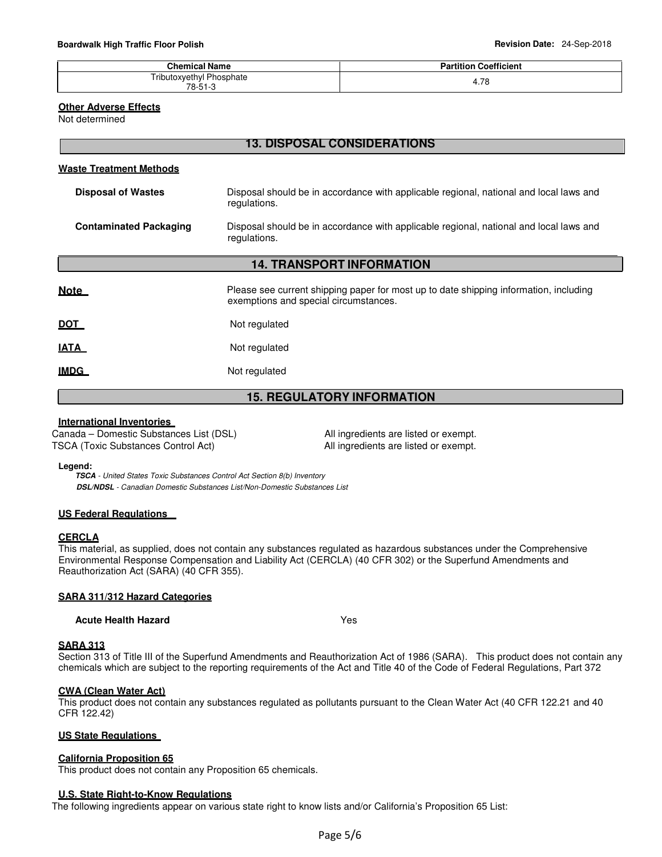| <b>Chemical Name</b>     | <b>Partition Coefficient</b> |
|--------------------------|------------------------------|
| Tributoxyethyl Phosphate | 7c                           |
| 78-51-3                  | 4./ö                         |

#### **Other Adverse Effects**

Not determined

# **13. DISPOSAL CONSIDERATIONS**

#### **Waste Treatment Methods**

| Disposal of Wastes     | Disposal should be in accordance with applicable regional, national and local laws and<br>regulations. |
|------------------------|--------------------------------------------------------------------------------------------------------|
| Contaminated Packaging | Disposal should be in accordance with applicable regional, national and local laws and<br>regulations. |

# **14. TRANSPORT INFORMATION**

| <u>Note</u> | Please see current shipping paper for most up to date shipping information, including<br>exemptions and special circumstances. |
|-------------|--------------------------------------------------------------------------------------------------------------------------------|
| <u>DOT</u>  | Not regulated                                                                                                                  |
| <u>IATA</u> | Not regulated                                                                                                                  |
| <u>IMDG</u> | Not regulated                                                                                                                  |

# **15. REGULATORY INFORMATION**

#### **International Inventories**

Canada – Domestic Substances List (DSL) All ingredients are listed or exempt. TSCA (Toxic Substances Control Act) All ingredients are listed or exempt.

#### **Legend:**

**TSCA** - United States Toxic Substances Control Act Section 8(b) Inventory **DSL/NDSL** - Canadian Domestic Substances List/Non-Domestic Substances List

#### **US Federal Regulations**

#### **CERCLA**

This material, as supplied, does not contain any substances regulated as hazardous substances under the Comprehensive Environmental Response Compensation and Liability Act (CERCLA) (40 CFR 302) or the Superfund Amendments and Reauthorization Act (SARA) (40 CFR 355).

#### **SARA 311/312 Hazard Categories**

**Acute Health Hazard** Yes

#### **SARA 313**

Section 313 of Title III of the Superfund Amendments and Reauthorization Act of 1986 (SARA). This product does not contain any chemicals which are subject to the reporting requirements of the Act and Title 40 of the Code of Federal Regulations, Part 372

#### **CWA (Clean Water Act)**

This product does not contain any substances regulated as pollutants pursuant to the Clean Water Act (40 CFR 122.21 and 40 CFR 122.42)

#### **US State Regulations**

#### **California Proposition 65**

This product does not contain any Proposition 65 chemicals.

#### **U.S. State Right-to-Know Regulations**

The following ingredients appear on various state right to know lists and/or California's Proposition 65 List: